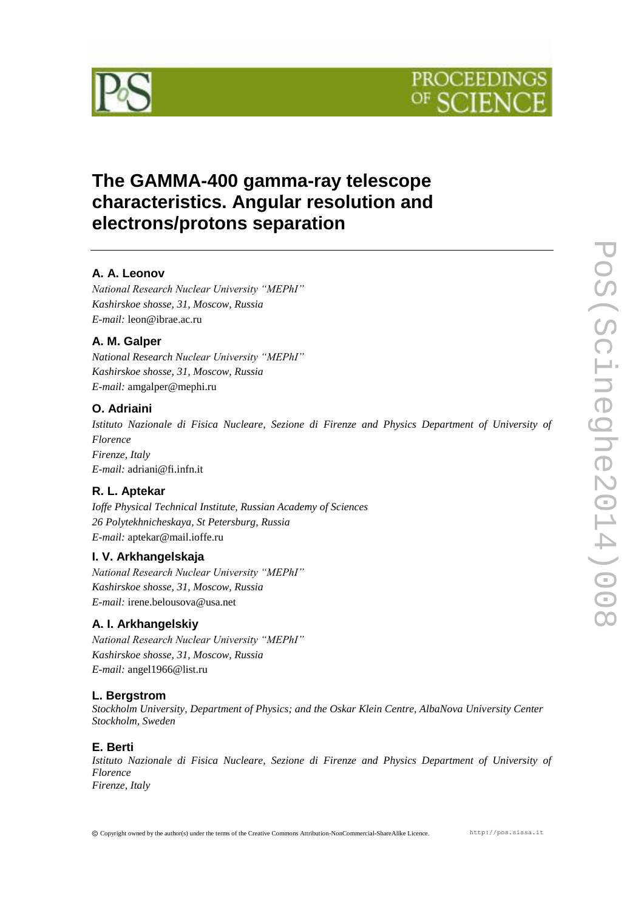



## **The GAMMA-400 gamma-ray telescope characteristics. Angular resolution and electrons/protons separation**

## **A. A. Leonov**

*National Research Nuclear University "MEPhI" Kashirskoe shosse, 31, Moscow, Russia E-mail:* leon@ibrae.ac.ru

#### **A. M. Galper**

*National Research Nuclear University "MEPhI" Kashirskoe shosse, 31, Moscow, Russia E-mail:* amgalper@mephi.ru

#### **O. Adriaini**

*Istituto Nazionale di Fisica Nucleare, Sezione di Firenze and Physics Department of University of Florence Firenze, Italy E-mail:* adriani@fi.infn.it

#### **R. L. Aptekar**

*Ioffe Physical Technical Institute, Russian Academy of Sciences 26 Polytekhnicheskaya, St Petersburg, Russia E-mail:* aptekar@mail.ioffe.ru

#### **I. V. Arkhangelskaja**

*National Research Nuclear University "MEPhI" Kashirskoe shosse, 31, Moscow, Russia E-mail:* irene.belousova@usa.net

#### **A. I. Arkhangelskiy**

*National Research Nuclear University "MEPhI" Kashirskoe shosse, 31, Moscow, Russia E-mail:* angel1966@list.ru

#### **L. Bergstrom**

*Stockholm University, Department of Physics; and the Oskar Klein Centre, AlbaNova University Center Stockholm, Sweden*

#### **E. Berti**

*Istituto Nazionale di Fisica Nucleare, Sezione di Firenze and Physics Department of University of Florence Firenze, Italy*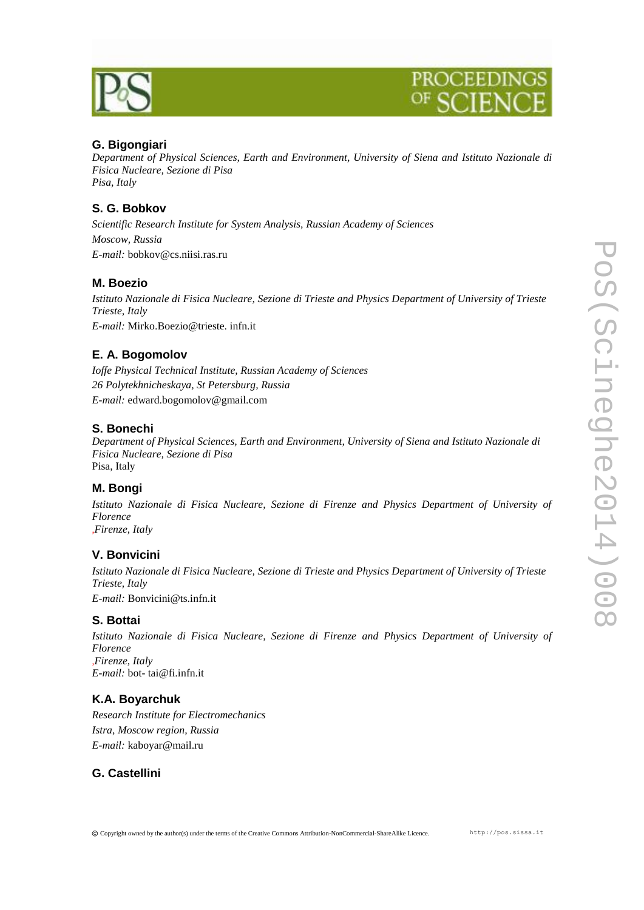

### **G. Bigongiari**

*Department of Physical Sciences, Earth and Environment, University of Siena and Istituto Nazionale di Fisica Nucleare, Sezione di Pisa Pisa, Italy*

#### **S. G. Bobkov**

*Scientific Research Institute for System Analysis, Russian Academy of Sciences Moscow, Russia E-mail:* bobkov@cs.niisi.ras.ru

#### **M. Boezio**

*Istituto Nazionale di Fisica Nucleare, Sezione di Trieste and Physics Department of University of Trieste Trieste, Italy E-mail:* Mirko.Boezio@trieste. infn.it

#### **E. A. Bogomolov**

*Ioffe Physical Technical Institute, Russian Academy of Sciences 26 Polytekhnicheskaya, St Petersburg, Russia E-mail:* edward.bogomolov@gmail.com

#### **S. Bonechi**

*Department of Physical Sciences, Earth and Environment, University of Siena and Istituto Nazionale di Fisica Nucleare, Sezione di Pisa* Pisa, Italy

#### **M. Bongi**

*Istituto Nazionale di Fisica Nucleare, Sezione di Firenze and Physics Department of University of Florence* ,*Firenze, Italy*

#### **V. Bonvicini**

*Istituto Nazionale di Fisica Nucleare, Sezione di Trieste and Physics Department of University of Trieste Trieste, Italy*

*E-mail:* Bonvicini@ts.infn.it

#### **S. Bottai**

*Istituto Nazionale di Fisica Nucleare, Sezione di Firenze and Physics Department of University of Florence* ,*Firenze, Italy E-mail:* bot- tai@fi.infn.it

#### **K.A. Boyarchuk**

*Research Institute for Electromechanics Istra, Moscow region, Russia E-mail:* kaboyar@mail.ru

#### **G. Castellini**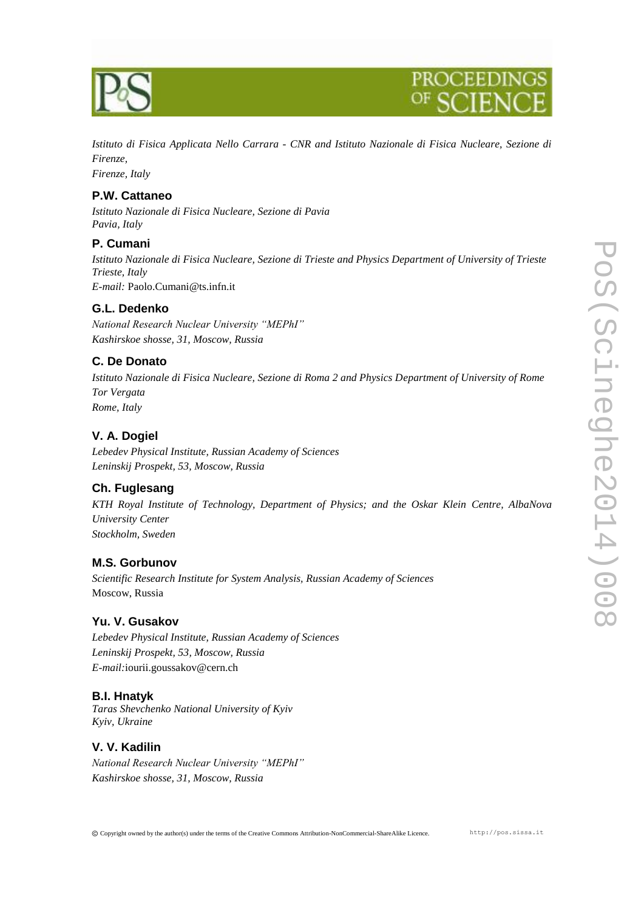

*Istituto di Fisica Applicata Nello Carrara - CNR and Istituto Nazionale di Fisica Nucleare, Sezione di Firenze,*

*Firenze, Italy*

#### **P.W. Cattaneo**

*Istituto Nazionale di Fisica Nucleare, Sezione di Pavia Pavia, Italy*

#### **P. Cumani**

*Istituto Nazionale di Fisica Nucleare, Sezione di Trieste and Physics Department of University of Trieste Trieste, Italy E-mail:* Paolo.Cumani@ts.infn.it

#### **G.L. Dedenko**

*National Research Nuclear University "MEPhI" Kashirskoe shosse, 31, Moscow, Russia*

#### **C. De Donato**

*Istituto Nazionale di Fisica Nucleare, Sezione di Roma 2 and Physics Department of University of Rome Tor Vergata Rome, Italy*

#### **V. A. Dogiel**

*Lebedev Physical Institute, Russian Academy of Sciences Leninskij Prospekt, 53, Moscow, Russia*

#### **Ch. Fuglesang**

*KTH Royal Institute of Technology, Department of Physics; and the Oskar Klein Centre, AlbaNova University Center Stockholm, Sweden*

#### **M.S. Gorbunov**

*Scientific Research Institute for System Analysis, Russian Academy of Sciences* Moscow, Russia

#### **Yu. V. Gusakov**

*Lebedev Physical Institute, Russian Academy of Sciences Leninskij Prospekt, 53, Moscow, Russia E-mail:*iourii.goussakov@cern.ch

#### **B.I. Hnatyk**

*Taras Shevchenko National University of Kyiv Kyiv, Ukraine*

#### **V. V. Kadilin**

*National Research Nuclear University "MEPhI" Kashirskoe shosse, 31, Moscow, Russia*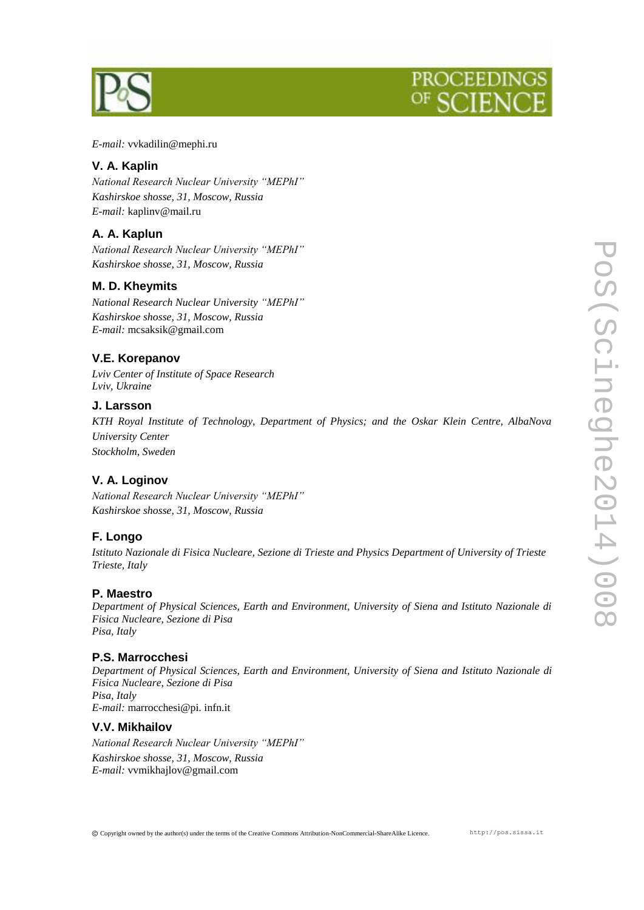



*E-mail:* vvkadilin@mephi.ru

#### **V. A. Kaplin**

*National Research Nuclear University "MEPhI" Kashirskoe shosse, 31, Moscow, Russia E-mail:* kaplinv@mail.ru

#### **A. A. Kaplun**

*National Research Nuclear University "MEPhI" Kashirskoe shosse, 31, Moscow, Russia*

#### **M. D. Kheymits**

*National Research Nuclear University "MEPhI" Kashirskoe shosse, 31, Moscow, Russia E-mail:* mcsaksik@gmail.com

#### **V.E. Korepanov**

*Lviv Center of Institute of Space Research Lviv, Ukraine*

#### **J. Larsson**

*KTH Royal Institute of Technology, Department of Physics; and the Oskar Klein Centre, AlbaNova University Center Stockholm, Sweden*

#### **V. A. Loginov**

*National Research Nuclear University "MEPhI" Kashirskoe shosse, 31, Moscow, Russia*

#### **F. Longo**

*Istituto Nazionale di Fisica Nucleare, Sezione di Trieste and Physics Department of University of Trieste Trieste, Italy*

#### **P. Maestro**

*Department of Physical Sciences, Earth and Environment, University of Siena and Istituto Nazionale di Fisica Nucleare, Sezione di Pisa Pisa, Italy*

#### **P.S. Marrocchesi**

*Department of Physical Sciences, Earth and Environment, University of Siena and Istituto Nazionale di Fisica Nucleare, Sezione di Pisa Pisa, Italy E-mail:* marrocchesi@pi. infn.it

#### **V.V. Mikhailov**

*National Research Nuclear University "MEPhI" Kashirskoe shosse, 31, Moscow, Russia E-mail:* vvmikhajlov@gmail.com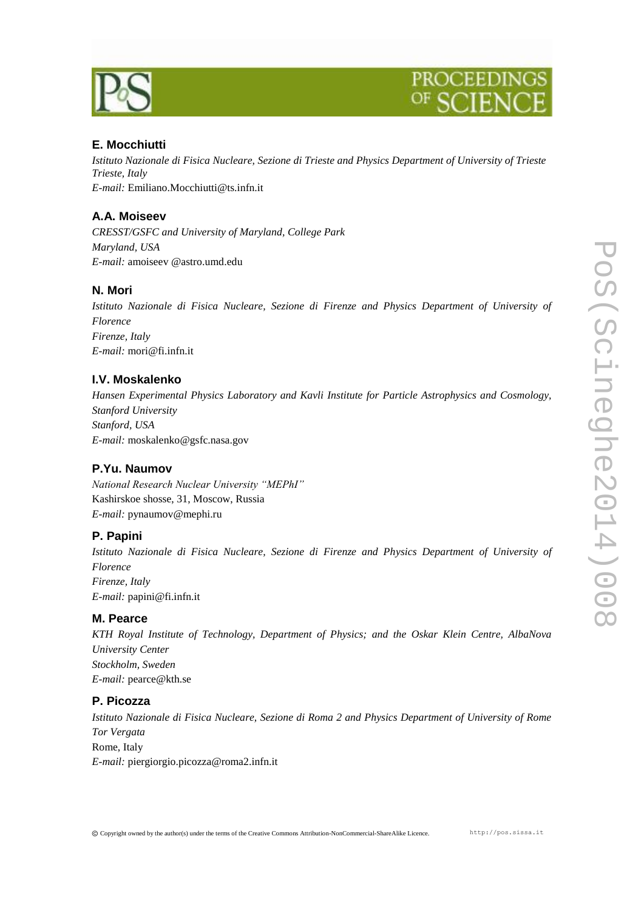

#### **E. Mocchiutti**

*Istituto Nazionale di Fisica Nucleare, Sezione di Trieste and Physics Department of University of Trieste Trieste, Italy E-mail:* Emiliano.Mocchiutti@ts.infn.it

#### **A.A. Moiseev**

*CRESST/GSFC and University of Maryland, College Park Maryland, USA E-mail:* amoiseev @astro.umd.edu

#### **N. Mori**

*Istituto Nazionale di Fisica Nucleare, Sezione di Firenze and Physics Department of University of Florence Firenze, Italy E-mail:* mori@fi.infn.it

#### **I.V. Moskalenko**

*Hansen Experimental Physics Laboratory and Kavli Institute for Particle Astrophysics and Cosmology, Stanford University Stanford, USA E-mail:* moskalenko@gsfc.nasa.gov

#### **P.Yu. Naumov**

*National Research Nuclear University "MEPhI"* Kashirskoe shosse, 31, Moscow, Russia *E-mail:* pynaumov@mephi.ru

#### **P. Papini**

*Istituto Nazionale di Fisica Nucleare, Sezione di Firenze and Physics Department of University of Florence Firenze, Italy E-mail:* papini@fi.infn.it

#### **M. Pearce**

*KTH Royal Institute of Technology, Department of Physics; and the Oskar Klein Centre, AlbaNova University Center Stockholm, Sweden E-mail:* pearce@kth.se

#### **P. Picozza**

*Istituto Nazionale di Fisica Nucleare, Sezione di Roma 2 and Physics Department of University of Rome Tor Vergata* Rome, Italy *E-mail:* piergiorgio.picozza@roma2.infn.it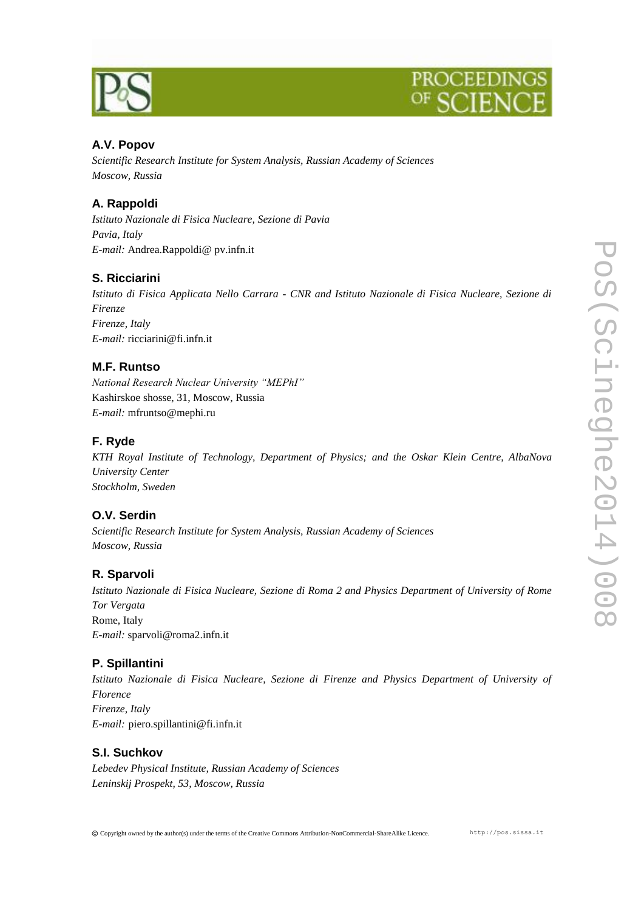

### **A.V. Popov**

*Scientific Research Institute for System Analysis, Russian Academy of Sciences Moscow, Russia*

## **A. Rappoldi**

*Istituto Nazionale di Fisica Nucleare, Sezione di Pavia Pavia, Italy E-mail:* Andrea.Rappoldi@ pv.infn.it

#### **S. Ricciarini**

*Istituto di Fisica Applicata Nello Carrara - CNR and Istituto Nazionale di Fisica Nucleare, Sezione di Firenze Firenze, Italy E-mail:* ricciarini@fi.infn.it

#### **M.F. Runtso**

*National Research Nuclear University "MEPhI"* Kashirskoe shosse, 31, Moscow, Russia *E-mail:* mfruntso@mephi.ru

#### **F. Ryde**

*KTH Royal Institute of Technology, Department of Physics; and the Oskar Klein Centre, AlbaNova University Center Stockholm, Sweden*

#### **O.V. Serdin**

*Scientific Research Institute for System Analysis, Russian Academy of Sciences Moscow, Russia*

#### **R. Sparvoli**

*Istituto Nazionale di Fisica Nucleare, Sezione di Roma 2 and Physics Department of University of Rome Tor Vergata* Rome, Italy *E-mail:* sparvoli@roma2.infn.it

#### **P. Spillantini**

*Istituto Nazionale di Fisica Nucleare, Sezione di Firenze and Physics Department of University of Florence Firenze, Italy E-mail:* piero.spillantini@fi.infn.it

#### **S.I. Suchkov**

*Lebedev Physical Institute, Russian Academy of Sciences Leninskij Prospekt, 53, Moscow, Russia*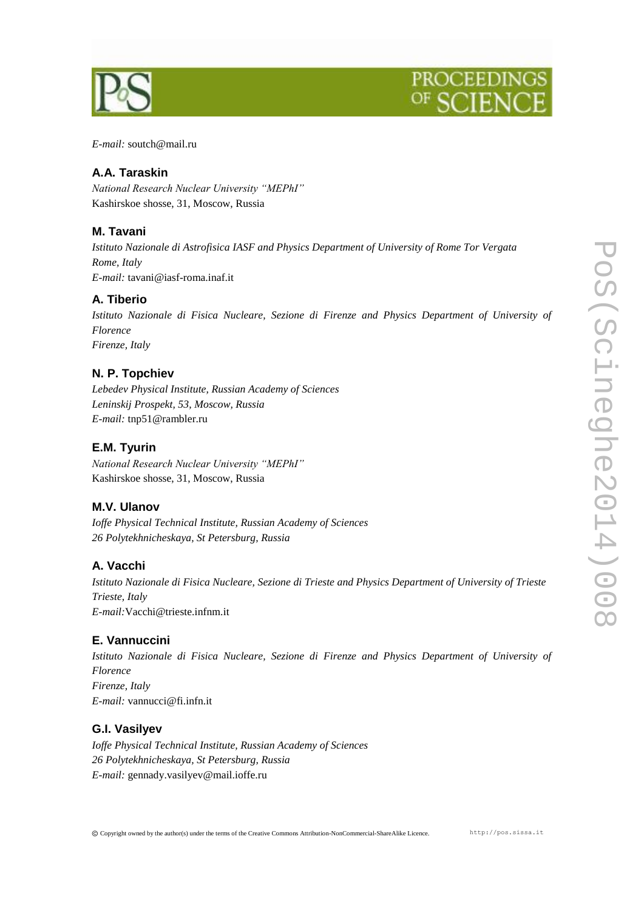

# PROCEEDIN

*E-mail:* soutch@mail.ru

#### **A.A. Taraskin**

*National Research Nuclear University "MEPhI"* Kashirskoe shosse, 31, Moscow, Russia

#### **M. Tavani**

*Istituto Nazionale di Astrofisica IASF and Physics Department of University of Rome Tor Vergata Rome, Italy E-mail:* tavani@iasf-roma.inaf.it

#### **A. Tiberio**

*Istituto Nazionale di Fisica Nucleare, Sezione di Firenze and Physics Department of University of Florence Firenze, Italy*

#### **N. P. Topchiev**

*Lebedev Physical Institute, Russian Academy of Sciences Leninskij Prospekt, 53, Moscow, Russia E-mail:* tnp51@rambler.ru

#### **E.M. Tyurin**

*National Research Nuclear University "MEPhI"* Kashirskoe shosse, 31, Moscow, Russia

#### **M.V. Ulanov**

*Ioffe Physical Technical Institute, Russian Academy of Sciences 26 Polytekhnicheskaya, St Petersburg, Russia*

#### **A. Vacchi**

*Istituto Nazionale di Fisica Nucleare, Sezione di Trieste and Physics Department of University of Trieste Trieste, Italy E-mail:*Vacchi@trieste.infnm.it

#### **E. Vannuccini**

*Istituto Nazionale di Fisica Nucleare, Sezione di Firenze and Physics Department of University of Florence Firenze, Italy E-mail:* vannucci@fi.infn.it

#### **G.I. Vasilyev**

*Ioffe Physical Technical Institute, Russian Academy of Sciences 26 Polytekhnicheskaya, St Petersburg, Russia E-mail:* gennady.vasilyev@mail.ioffe.ru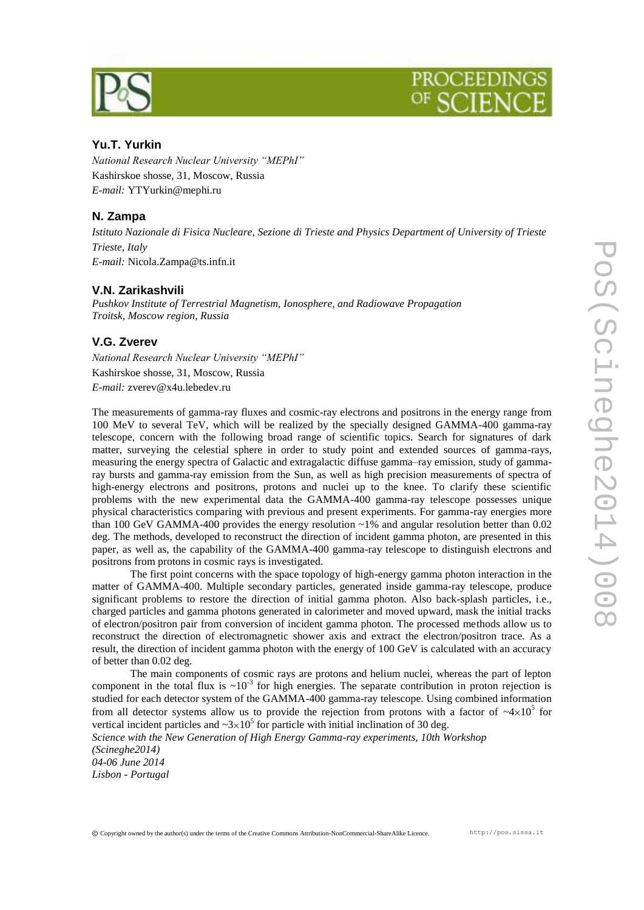

# PROCEEDI)

#### **Yu.T. Yurkin**

*National Research Nuclear University "MEPhI"* Kashirskoe shosse, 31, Moscow, Russia *E-mail:* YTYurkin@mephi.ru

#### **N. Zampa**

*Istituto Nazionale di Fisica Nucleare, Sezione di Trieste and Physics Department of University of Trieste Trieste, Italy E-mail:* Nicola.Zampa@ts.infn.it

#### **V.N. Zarikashvili**

*Pushkov Institute of Terrestrial Magnetism, Ionosphere, and Radiowave Propagation Troitsk, Moscow region, Russia*

#### **V.G. Zverev**

*National Research Nuclear University "MEPhI"* Kashirskoe shosse, 31, Moscow, Russia *E-mail:* zverev@x4u.lebedev.ru

The measurements of gamma-ray fluxes and cosmic-ray electrons and positrons in the energy range from 100 MeV to several TeV, which will be realized by the specially designed GAMMA-400 gamma-ray telescope, concern with the following broad range of scientific topics. Search for signatures of dark matter, surveying the celestial sphere in order to study point and extended sources of gamma-rays, measuring the energy spectra of Galactic and extragalactic diffuse gamma–ray emission, study of gammaray bursts and gamma-ray emission from the Sun, as well as high precision measurements of spectra of high-energy electrons and positrons, protons and nuclei up to the knee. To clarify these scientific problems with the new experimental data the GAMMA-400 gamma-ray telescope possesses unique physical characteristics comparing with previous and present experiments. For gamma-ray energies more than 100 GeV GAMMA-400 provides the energy resolution ~1% and angular resolution better than 0.02 deg. The methods, developed to reconstruct the direction of incident gamma photon, are presented in this paper, as well as, the capability of the GAMMA-400 gamma-ray telescope to distinguish electrons and positrons from protons in cosmic rays is investigated.

The first point concerns with the space topology of high-energy gamma photon interaction in the matter of GAMMA-400. Multiple secondary particles, generated inside gamma-ray telescope, produce significant problems to restore the direction of initial gamma photon. Also back-splash particles, i.e., charged particles and gamma photons generated in calorimeter and moved upward, mask the initial tracks of electron/positron pair from conversion of incident gamma photon. The processed methods allow us to reconstruct the direction of electromagnetic shower axis and extract the electron/positron trace. As a result, the direction of incident gamma photon with the energy of 100 GeV is calculated with an accuracy of better than 0.02 deg.

The main components of cosmic rays are protons and helium nuclei, whereas the part of lepton component in the total flux is  $\sim 10^{-3}$  for high energies. The separate contribution in proton rejection is studied for each detector system of the GAMMA-400 gamma-ray telescope. Using combined information from all detector systems allow us to provide the rejection from protons with a factor of  $\sim 4 \times 10^5$  for vertical incident particles and  $\sim 3 \times 10^5$  for particle with initial inclination of 30 deg.

*Science with the New Generation of High Energy Gamma-ray experiments, 10th Workshop (Scineghe2014)*

*04-06 June 2014 Lisbon - Portugal*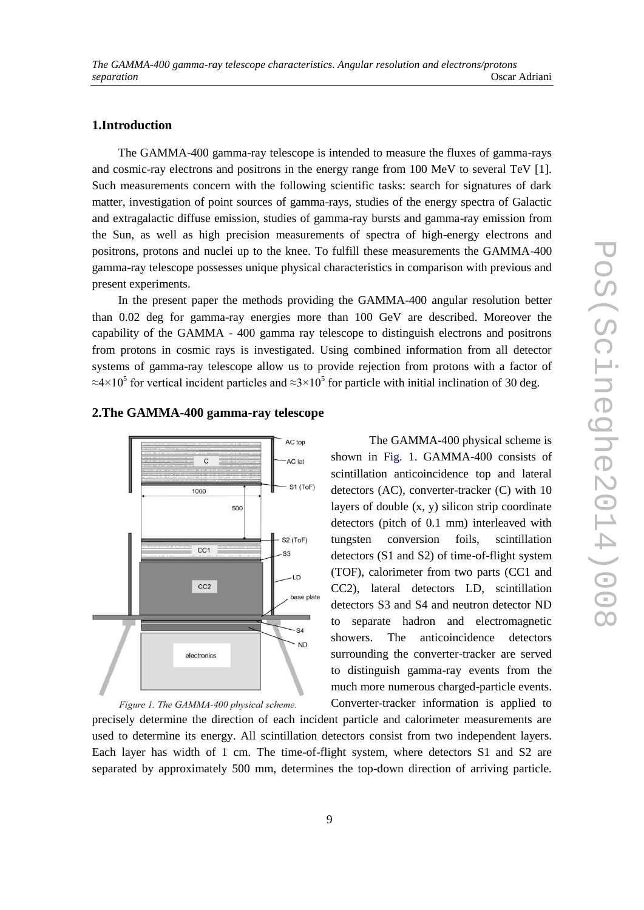#### **1.Introduction**

The GAMMA-400 gamma-ray telescope is intended to measure the fluxes of gamma-rays and cosmic-ray electrons and positrons in the energy range from 100 MeV to several TeV [1]. Such measurements concern with the following scientific tasks: search for signatures of dark matter, investigation of point sources of gamma-rays, studies of the energy spectra of Galactic and extragalactic diffuse emission, studies of gamma-ray bursts and gamma-ray emission from the Sun, as well as high precision measurements of spectra of high-energy electrons and positrons, protons and nuclei up to the knee. To fulfill these measurements the GAMMA-400 gamma-ray telescope possesses unique physical characteristics in comparison with previous and present experiments.

In the present paper the methods providing the GAMMA-400 angular resolution better than 0.02 deg for gamma-ray energies more than 100 GeV are described. Moreover the capability of the GAMMA - 400 gamma ray telescope to distinguish electrons and positrons from protons in cosmic rays is investigated. Using combined information from all detector systems of gamma-ray telescope allow us to provide rejection from protons with a factor of ≈4×10<sup>5</sup> for vertical incident particles and ≈3×10<sup>5</sup> for particle with initial inclination of 30 deg.

## AC top  $\overline{c}$ AC lat S1 (ToF) 1000 500 S<sub>2</sub> (ToF)  $CC1$  $\overline{\mathbf{S}}$  $\overline{1}$  $CC2$ base plate  $-S4$ **ND** electronics

**2.The GAMMA-400 gamma-ray telescope**



The GAMMA-400 physical scheme is shown in Fig. 1. GAMMA-400 consists of scintillation anticoincidence top and lateral detectors (AC), converter-tracker (C) with 10 layers of double (x, y) silicon strip coordinate detectors (pitch of 0.1 mm) interleaved with tungsten conversion foils, scintillation detectors (S1 and S2) of time-of-flight system (TOF), calorimeter from two parts (CC1 and CC2), lateral detectors LD, scintillation detectors S3 and S4 and neutron detector ND to separate hadron and electromagnetic showers. The anticoincidence detectors surrounding the converter-tracker are served to distinguish gamma-ray events from the much more numerous charged-particle events. Converter-tracker information is applied to

precisely determine the direction of each incident particle and calorimeter measurements are used to determine its energy. All scintillation detectors consist from two independent layers. Each layer has width of 1 cm. The time-of-flight system, where detectors S1 and S2 are separated by approximately 500 mm, determines the top-down direction of arriving particle.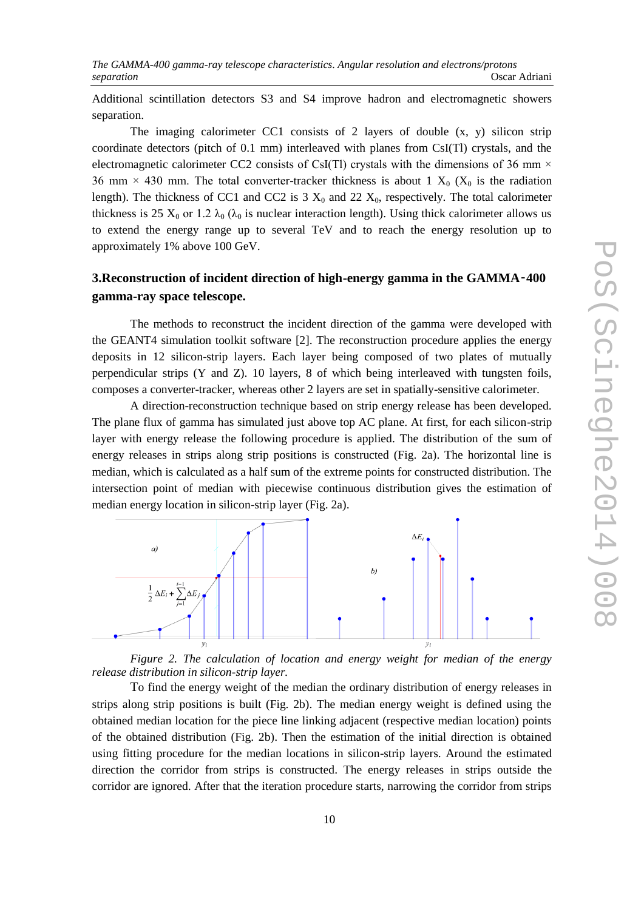Additional scintillation detectors S3 and S4 improve hadron and electromagnetic showers separation.

The imaging calorimeter CC1 consists of 2 layers of double  $(x, y)$  silicon strip coordinate detectors (pitch of 0.1 mm) interleaved with planes from CsI(Tl) crystals, and the electromagnetic calorimeter CC2 consists of CsI(Tl) crystals with the dimensions of 36 mm  $\times$ 36 mm  $\times$  430 mm. The total converter-tracker thickness is about 1  $X_0$  ( $X_0$  is the radiation length). The thickness of CC1 and CC2 is  $3 X_0$  and  $22 X_0$ , respectively. The total calorimeter thickness is 25  $X_0$  or 1.2  $\lambda_0$  ( $\lambda_0$  is nuclear interaction length). Using thick calorimeter allows us to extend the energy range up to several TeV and to reach the energy resolution up to approximately 1% above 100 GeV.

### **3.Reconstruction of incident direction of high-energy gamma in the GAMMA-400 gamma-ray space telescope.**

The methods to reconstruct the incident direction of the gamma were developed with the GEANT4 simulation toolkit software [2]. The reconstruction procedure applies the energy deposits in 12 silicon-strip layers. Each layer being composed of two plates of mutually perpendicular strips (Y and Z). 10 layers, 8 of which being interleaved with tungsten foils, composes a converter-tracker, whereas other 2 layers are set in spatially-sensitive calorimeter.

A direction-reconstruction technique based on strip energy release has been developed. The plane flux of gamma has simulated just above top AC plane. At first, for each silicon-strip layer with energy release the following procedure is applied. The distribution of the sum of energy releases in strips along strip positions is constructed (Fig. 2a). The horizontal line is median, which is calculated as a half sum of the extreme points for constructed distribution. The intersection point of median with piecewise continuous distribution gives the estimation of median energy location in silicon-strip layer (Fig. 2a).



*Figure 2. The calculation of location and energy weight for median of the energy release distribution in silicon-strip layer.*

To find the energy weight of the median the ordinary distribution of energy releases in strips along strip positions is built (Fig. 2b). The median energy weight is defined using the obtained median location for the piece line linking adjacent (respective median location) points of the obtained distribution (Fig. 2b). Then the estimation of the initial direction is obtained using fitting procedure for the median locations in silicon-strip layers. Around the estimated direction the corridor from strips is constructed. The energy releases in strips outside the corridor are ignored. After that the iteration procedure starts, narrowing the corridor from strips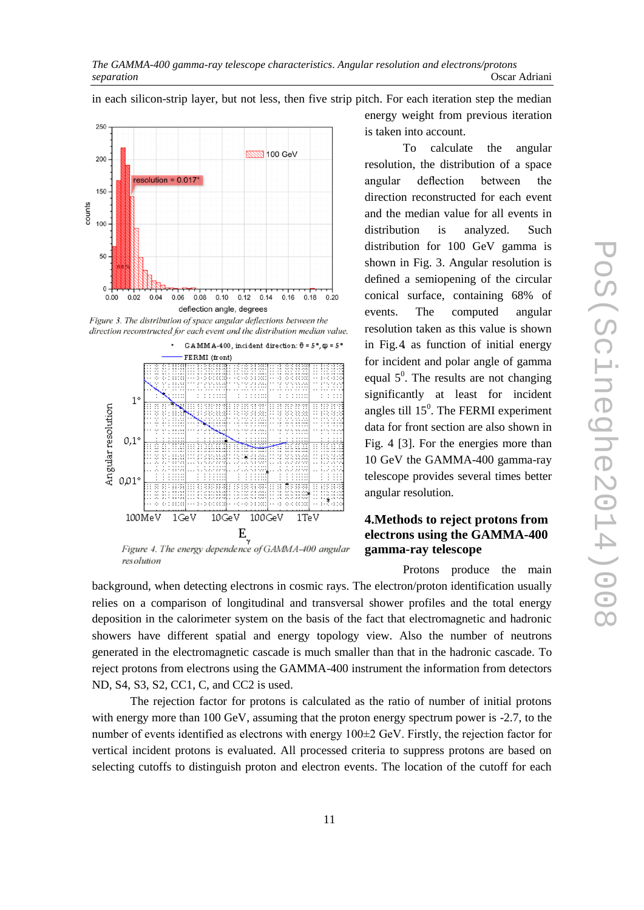250 **NNNN** 100 GeV 200 resolution =  $0.017^\circ$ 150 counts  $100$ 50  $\overline{0}$  $0.00$  $0.02$  $0.04$ 0.06 0.08  $0.10$  $0.12$  $0.14$ 0.16 0.18  $0.20$ deflection angle, degrees

Figure 3. The distribution of space angular deflections between the direction reconstructed for each event and the distribution median value.



resolution

in each silicon-strip layer, but not less, then five strip pitch. For each iteration step the median energy weight from previous iteration is taken into account.

> To calculate the angular resolution, the distribution of a space angular deflection between the direction reconstructed for each event and the median value for all events in distribution is analyzed. Such distribution for 100 GeV gamma is shown in Fig. 3. Angular resolution is defined a semiopening of the circular conical surface, containing 68% of events. The computed angular resolution taken as this value is shown in Fig. 4. as function of initial energy for incident and polar angle of gamma equal  $5^0$ . The results are not changing significantly at least for incident angles till  $15<sup>0</sup>$ . The FERMI experiment data for front section are also shown in Fig. 4 [3]. For the energies more than 10 GeV the GAMMA-400 gamma-ray telescope provides several times better angular resolution.

#### **4.Methods to reject protons from electrons using the GAMMA-400 gamma-ray telescope**

Protons produce the main

background, when detecting electrons in cosmic rays. The electron/proton identification usually relies on a comparison of longitudinal and transversal shower profiles and the total energy deposition in the calorimeter system on the basis of the fact that electromagnetic and hadronic showers have different spatial and energy topology view. Also the number of neutrons generated in the electromagnetic cascade is much smaller than that in the hadronic cascade. To reject protons from electrons using the GAMMA-400 instrument the information from detectors ND, S4, S3, S2, CC1, C, and CC2 is used.

The rejection factor for protons is calculated as the ratio of number of initial protons with energy more than 100 GeV, assuming that the proton energy spectrum power is -2.7, to the number of events identified as electrons with energy 100±2 GeV. Firstly, the rejection factor for vertical incident protons is evaluated. All processed criteria to suppress protons are based on selecting cutoffs to distinguish proton and electron events. The location of the cutoff for each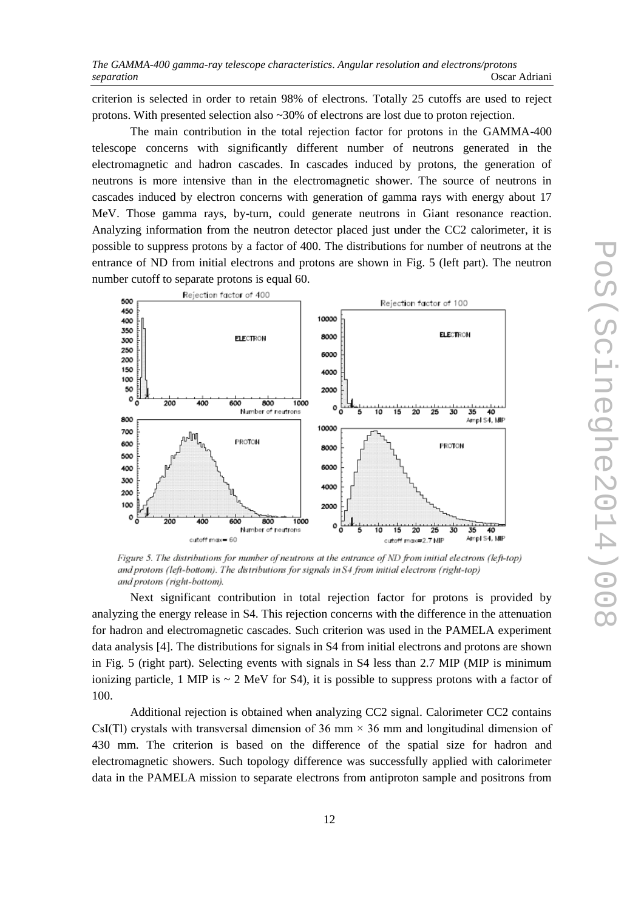criterion is selected in order to retain 98% of electrons. Totally 25 cutoffs are used to reject protons. With presented selection also ~30% of electrons are lost due to proton rejection.

The main contribution in the total rejection factor for protons in the GAMMA-400 telescope concerns with significantly different number of neutrons generated in the electromagnetic and hadron cascades. In cascades induced by protons, the generation of neutrons is more intensive than in the electromagnetic shower. The source of neutrons in cascades induced by electron concerns with generation of gamma rays with energy about 17 MeV. Those gamma rays, by-turn, could generate neutrons in Giant resonance reaction. Analyzing information from the neutron detector placed just under the CC2 calorimeter, it is possible to suppress protons by a factor of 400. The distributions for number of neutrons at the entrance of ND from initial electrons and protons are shown in Fig. 5 (left part). The neutron number cutoff to separate protons is equal 60.



Figure 5. The distributions for number of neutrons at the entrance of ND from initial electrons (left-top) and protons (left-bottom). The distributions for signals in S4 from initial electrons (right-top) and protons (right-bottom).

Next significant contribution in total rejection factor for protons is provided by analyzing the energy release in S4. This rejection concerns with the difference in the attenuation for hadron and electromagnetic cascades. Such criterion was used in the PAMELA experiment data analysis [4]. The distributions for signals in S4 from initial electrons and protons are shown in Fig. 5 (right part). Selecting events with signals in S4 less than 2.7 MIP (MIP is minimum ionizing particle, 1 MIP is  $\sim$  2 MeV for S4), it is possible to suppress protons with a factor of 100.

Additional rejection is obtained when analyzing CC2 signal. Calorimeter CC2 contains CsI(Tl) crystals with transversal dimension of 36 mm  $\times$  36 mm and longitudinal dimension of 430 mm. The criterion is based on the difference of the spatial size for hadron and electromagnetic showers. Such topology difference was successfully applied with calorimeter data in the PAMELA mission to separate electrons from antiproton sample and positrons from